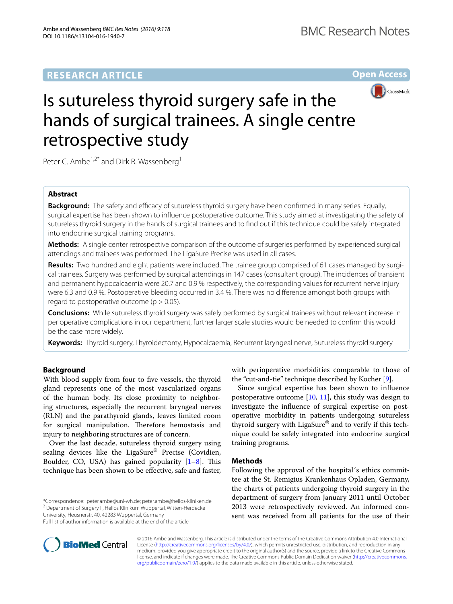**Open Access**



# Is sutureless thyroid surgery safe in the hands of surgical trainees. A single centre retrospective study

Peter C. Ambe<sup>1,2\*</sup> and Dirk R. Wassenberg<sup>1</sup>

# **Abstract**

**Background:** The safety and efficacy of sutureless thyroid surgery have been confirmed in many series. Equally, surgical expertise has been shown to influence postoperative outcome. This study aimed at investigating the safety of sutureless thyroid surgery in the hands of surgical trainees and to find out if this technique could be safely integrated into endocrine surgical training programs.

**Methods:** A single center retrospective comparison of the outcome of surgeries performed by experienced surgical attendings and trainees was performed. The LigaSure Precise was used in all cases.

Results: Two hundred and eight patients were included. The trainee group comprised of 61 cases managed by surgical trainees. Surgery was performed by surgical attendings in 147 cases (consultant group). The incidences of transient and permanent hypocalcaemia were 20.7 and 0.9 % respectively, the corresponding values for recurrent nerve injury were 6.3 and 0.9 %. Postoperative bleeding occurred in 3.4 %. There was no difference amongst both groups with regard to postoperative outcome ( $p > 0.05$ ).

**Conclusions:** While sutureless thyroid surgery was safely performed by surgical trainees without relevant increase in perioperative complications in our department, further larger scale studies would be needed to confirm this would be the case more widely.

**Keywords:** Thyroid surgery, Thyroidectomy, Hypocalcaemia, Recurrent laryngeal nerve, Sutureless thyroid surgery

# **Background**

With blood supply from four to five vessels, the thyroid gland represents one of the most vascularized organs of the human body. Its close proximity to neighboring structures, especially the recurrent laryngeal nerves (RLN) and the parathyroid glands, leaves limited room for surgical manipulation. Therefore hemostasis and injury to neighboring structures are of concern.

Over the last decade, sutureless thyroid surgery using sealing devices like the LigaSure® Precise (Covidien, Boulder, CO, USA) has gained popularity  $[1-8]$  $[1-8]$ . This technique has been shown to be effective, safe and faster,

\*Correspondence: peter.ambe@uni‑wh.de; peter.ambe@helios‑kliniken.de <sup>2</sup> Department of Surgery II, Helios Klinikum Wuppertal, Witten-Herdecke

University, Heusnerstr. 40, 42283 Wuppertal, Germany

with perioperative morbidities comparable to those of the "cut-and-tie" technique described by Kocher [[9\]](#page-4-2).

Since surgical expertise has been shown to influence postoperative outcome  $[10, 11]$  $[10, 11]$  $[10, 11]$  $[10, 11]$ , this study was design to investigate the influence of surgical expertise on postoperative morbidity in patients undergoing sutureless thyroid surgery with LigaSure® and to verify if this technique could be safely integrated into endocrine surgical training programs.

# **Methods**

Following the approval of the hospital´s ethics committee at the St. Remigius Krankenhaus Opladen, Germany, the charts of patients undergoing thyroid surgery in the department of surgery from January 2011 until October 2013 were retrospectively reviewed. An informed consent was received from all patients for the use of their



© 2016 Ambe and Wassenberg. This article is distributed under the terms of the Creative Commons Attribution 4.0 International License (<http://creativecommons.org/licenses/by/4.0/>), which permits unrestricted use, distribution, and reproduction in any medium, provided you give appropriate credit to the original author(s) and the source, provide a link to the Creative Commons license, and indicate if changes were made. The Creative Commons Public Domain Dedication waiver ([http://creativecommons.](http://creativecommons.org/publicdomain/zero/1.0/) [org/publicdomain/zero/1.0/](http://creativecommons.org/publicdomain/zero/1.0/)) applies to the data made available in this article, unless otherwise stated.

Full list of author information is available at the end of the article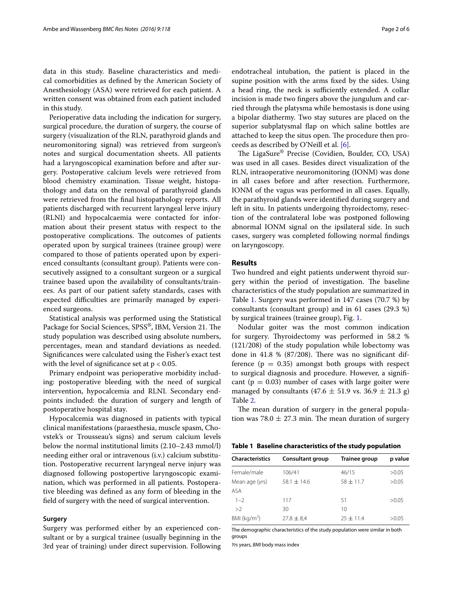data in this study. Baseline characteristics and medical comorbidities as defined by the American Society of Anesthesiology (ASA) were retrieved for each patient. A written consent was obtained from each patient included in this study.

Perioperative data including the indication for surgery, surgical procedure, the duration of surgery, the course of surgery (visualization of the RLN, parathyroid glands and neuromonitoring signal) was retrieved from surgeon's notes and surgical documentation sheets. All patients had a laryngoscopical examination before and after surgery. Postoperative calcium levels were retrieved from blood chemistry examination. Tissue weight, histopathology and data on the removal of parathyroid glands were retrieved from the final histopathology reports. All patients discharged with recurrent laryngeal lerve injury (RLNI) and hypocalcaemia were contacted for information about their present status with respect to the postoperative complications. The outcomes of patients operated upon by surgical trainees (trainee group) were compared to those of patients operated upon by experienced consultants (consultant group). Patients were consecutively assigned to a consultant surgeon or a surgical trainee based upon the availability of consultants/trainees. As part of our patient safety standards, cases with expected difficulties are primarily managed by experienced surgeons.

Statistical analysis was performed using the Statistical Package for Social Sciences, SPSS®, IBM, Version 21. The study population was described using absolute numbers, percentages, mean and standard deviations as needed. Significances were calculated using the Fisher's exact test with the level of significance set at  $p < 0.05$ .

Primary endpoint was perioperative morbidity including: postoperative bleeding with the need of surgical intervention, hypocalcemia and RLNI. Secondary endpoints included: the duration of surgery and length of postoperative hospital stay.

Hypocalcemia was diagnosed in patients with typical clinical manifestations (paraesthesia, muscle spasm, Chovstek's or Trousseau's signs) and serum calcium levels below the normal institutional limits (2.10–2.43 mmol/l) needing either oral or intravenous (i.v.) calcium substitution. Postoperative recurrent laryngeal nerve injury was diagnosed following postopertive laryngoscopic examination, which was performed in all patients. Postoperative bleeding was defined as any form of bleeding in the field of surgery with the need of surgical intervention.

## **Surgery**

Surgery was performed either by an experienced consultant or by a surgical trainee (usually beginning in the 3rd year of training) under direct supervision. Following

endotracheal intubation, the patient is placed in the supine position with the arms fixed by the sides. Using a head ring, the neck is sufficiently extended. A collar incision is made two fingers above the jungulum and carried through the platysma while hemostasis is done using a bipolar diathermy. Two stay sutures are placed on the superior subplatysmal flap on which saline bottles are attached to keep the situs open. The procedure then proceeds as described by O'Neill et al. [[6\]](#page-4-5).

The LigaSure® Precise (Covidien, Boulder, CO, USA) was used in all cases. Besides direct visualization of the RLN, intraoperative neuromonitoring (IONM) was done in all cases before and after resection. Furthermore, IONM of the vagus was performed in all cases. Equally, the parathyroid glands were identified during surgery and left in situ. In patients undergoing thyroidectomy, resection of the contralateral lobe was postponed following abnormal IONM signal on the ipsilateral side. In such cases, surgery was completed following normal findings on laryngoscopy.

## **Results**

Two hundred and eight patients underwent thyroid surgery within the period of investigation. The baseline characteristics of the study population are summarized in Table [1.](#page-1-0) Surgery was performed in 147 cases (70.7 %) by consultants (consultant group) and in 61 cases (29.3 %) by surgical trainees (trainee group), Fig. [1.](#page-2-0)

Nodular goiter was the most common indication for surgery. Thyroidectomy was performed in 58.2 % (121/208) of the study population while lobectomy was done in 41.8 % (87/208). There was no significant difference ( $p = 0.35$ ) amongst both groups with respect to surgical diagnosis and procedure. However, a significant ( $p = 0.03$ ) number of cases with large goiter were managed by consultants  $(47.6 \pm 51.9 \text{ vs. } 36.9 \pm 21.3 \text{ g})$ Table [2](#page-2-1).

The mean duration of surgery in the general population was 78.0  $\pm$  27.3 min. The mean duration of surgery

<span id="page-1-0"></span>

| <b>Characteristics</b> | Consultant group | <b>Trainee group</b> | p value |
|------------------------|------------------|----------------------|---------|
| Female/male            | 106/41           | 46/15                | >0.05   |
| Mean age (yrs)         | $58.1 \pm 14.6$  | $58 \pm 11.7$        | >0.05   |
| ASA                    |                  |                      |         |
| $1 - 2$                | 117              | 51                   | >0.05   |
| >2                     | 30               | 10                   |         |
| BMI ( $kg/m2$ )        | $27.8 \pm 8.4$   | $25 + 11.4$          | >0.05   |
|                        |                  |                      |         |

The demographic characteristics of the study population were similar in both groups

*Yrs* years, *BMI* body mass index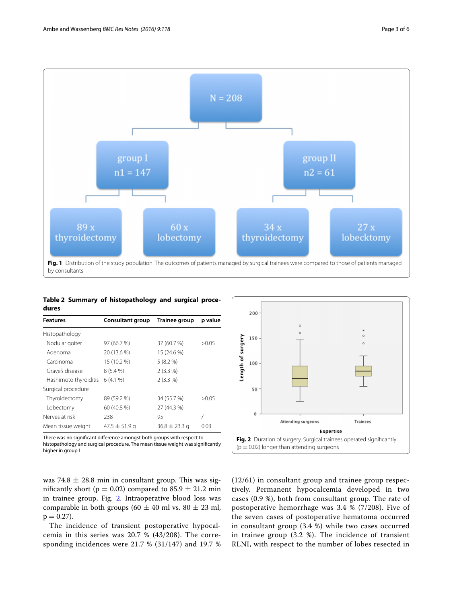

<span id="page-2-1"></span><span id="page-2-0"></span>**Table 2 Summary of histopathology and surgical procedures**

| <b>Features</b>       | Consultant group  | <b>Trainee group</b> | p value |
|-----------------------|-------------------|----------------------|---------|
| Histopathology        |                   |                      |         |
| Nodular goiter        | 97 (66.7 %)       | 37 (60.7 %)          | >0.05   |
| Adenoma               | 20 (13.6 %)       | 15 (24.6 %)          |         |
| Carcinoma             | 15 (10.2 %)       | 5(8.2%)              |         |
| Grave's disease       | $8(5.4\%)$        | $2(3.3\%)$           |         |
| Hashimoto thyroiditis | 6(4.1%            | $2(3.3\%)$           |         |
| Surgical procedure    |                   |                      |         |
| Thyroidectomy         | 89 (59.2 %)       | 34 (55.7 %)          | >0.05   |
| Lobectomy             | 60 (40.8 %)       | 27 (44.3 %)          |         |
| Nerves at risk        | 238               | 95                   |         |
| Mean tissue weight    | $47.5 \pm 51.9$ g | $36.8 \pm 23.3$ g    | 0.03    |

There was no significant difference amongst both groups with respect to histopathology and surgical procedure. The mean tissue weight was significantly higher in group I



was 74.8  $\pm$  28.8 min in consultant group. This was significantly short ( $p = 0.02$ ) compared to 85.9  $\pm$  21.2 min in trainee group, Fig. [2.](#page-2-2) Intraoperative blood loss was comparable in both groups (60  $\pm$  40 ml vs. 80  $\pm$  23 ml,  $p = 0.27$ .

The incidence of transient postoperative hypocalcemia in this series was 20.7 % (43/208). The corresponding incidences were 21.7 % (31/147) and 19.7 % <span id="page-2-2"></span>(12/61) in consultant group and trainee group respectively. Permanent hypocalcemia developed in two cases (0.9 %), both from consultant group. The rate of postoperative hemorrhage was 3.4 % (7/208). Five of the seven cases of postoperative hematoma occurred in consultant group (3.4 %) while two cases occurred in trainee group (3.2 %). The incidence of transient RLNI, with respect to the number of lobes resected in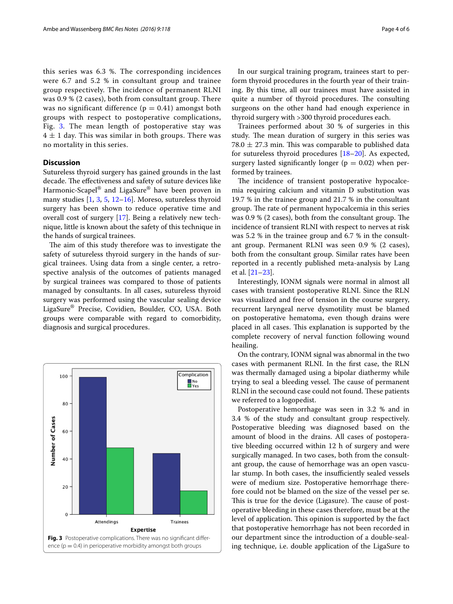this series was 6.3 %. The corresponding incidences were 6.7 and 5.2 % in consultant group and trainee group respectively. The incidence of permanent RLNI was 0.9 % (2 cases), both from consultant group. There was no significant difference ( $p = 0.41$ ) amongst both groups with respect to postoperative complications, Fig. [3.](#page-3-0) The mean length of postoperative stay was  $4 \pm 1$  day. This was similar in both groups. There was no mortality in this series.

## **Discussion**

Sutureless thyroid surgery has gained grounds in the last decade. The effectiveness and safety of suture devices like Harmonic-Scapel® and LigaSure® have been proven in many studies [[1,](#page-4-0) [3,](#page-4-6) [5,](#page-4-7) [12–](#page-4-8)[16\]](#page-4-9). Moreso, sutureless thyroid surgery has been shown to reduce operative time and overall cost of surgery [[17\]](#page-4-10). Being a relatively new technique, little is known about the safety of this technique in the hands of surgical trainees.

The aim of this study therefore was to investigate the safety of sutureless thyroid surgery in the hands of surgical trainees. Using data from a single center, a retrospective analysis of the outcomes of patients managed by surgical trainees was compared to those of patients managed by consultants. In all cases, sutureless thyroid surgery was performed using the vascular sealing device LigaSure® Precise, Covidien, Boulder, CO, USA. Both groups were comparable with regard to comorbidity, diagnosis and surgical procedures.

<span id="page-3-0"></span>

In our surgical training program, trainees start to perform thyroid procedures in the fourth year of their training. By this time, all our trainees must have assisted in quite a number of thyroid procedures. The consulting surgeons on the other hand had enough experience in thyroid surgery with >300 thyroid procedures each.

Trainees performed about 30 % of surgeries in this study. The mean duration of surgery in this series was 78.0  $\pm$  27.3 min. This was comparable to published data for sutureless thyroid procedures [\[18](#page-4-11)[–20](#page-4-12)]. As expected, surgery lasted significantly longer ( $p = 0.02$ ) when performed by trainees.

The incidence of transient postoperative hypocalcemia requiring calcium and vitamin D substitution was 19.7 % in the trainee group and 21.7 % in the consultant group. The rate of permanent hypocalcemia in this series was 0.9 % (2 cases), both from the consultant group. The incidence of transient RLNI with respect to nerves at risk was 5.2 % in the trainee group and 6.7 % in the consultant group. Permanent RLNI was seen 0.9 % (2 cases), both from the consultant group. Similar rates have been reported in a recently published meta-analysis by Lang et al. [[21](#page-5-0)[–23](#page-5-1)].

Interestingly, IONM signals were normal in almost all cases with transient postoperative RLNI. Since the RLN was visualized and free of tension in the course surgery, recurrent laryngeal nerve dysmotility must be blamed on postoperative hematoma, even though drains were placed in all cases. This explanation is supported by the complete recovery of nerval function following wound heailing.

On the contrary, IONM signal was abnormal in the two cases with permanent RLNI. In the first case, the RLN was thermally damaged using a bipolar diathermy while trying to seal a bleeding vessel. The cause of permanent RLNI in the secound case could not found. These patients we referred to a logopedist.

Postoperative hemorrhage was seen in 3.2 % and in 3.4 % of the study and consultant group respectively. Postoperative bleeding was diagnosed based on the amount of blood in the drains. All cases of postoperative bleeding occurred within 12 h of surgery and were surgically managed. In two cases, both from the consultant group, the cause of hemorrhage was an open vascular stump. In both cases, the insufficiently sealed vessels were of medium size. Postoperative hemorrhage therefore could not be blamed on the size of the vessel per se. This is true for the device (Ligasure). The cause of postoperative bleeding in these cases therefore, must be at the level of application. This opinion is supported by the fact that postoperative hemorrhage has not been recorded in our department since the introduction of a double-sealing technique, i.e. double application of the LigaSure to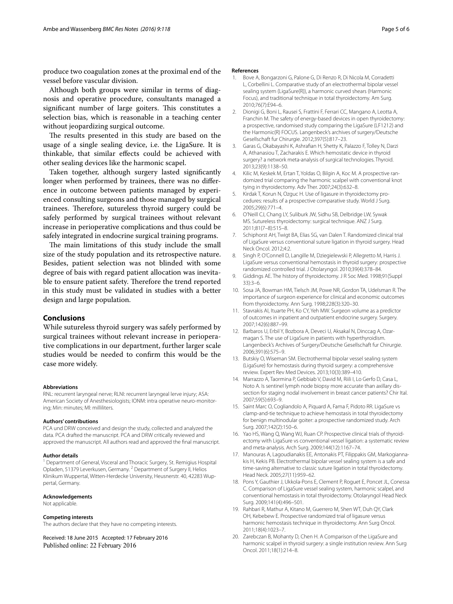produce two coagulation zones at the proximal end of the vessel before vascular division.

Although both groups were similar in terms of diagnosis and operative procedure, consultants managed a significant number of large goiters. This constitutes a selection bias, which is reasonable in a teaching center without jeopardizing surgical outcome.

The results presented in this study are based on the usage of a single sealing device, i.e. the LigaSure. It is thinkable, that similar effects could be achieved with other sealing devices like the harmonic scapel.

Taken together, although surgery lasted significantly longer when performed by trainees, there was no difference in outcome between patients managed by experienced consulting surgeons and those managed by surgical trainees. Therefore, sutureless thyroid surgery could be safely performed by surgical trainees without relevant increase in perioperative complications and thus could be safely integrated in endocrine surgical training programs.

The main limitations of this study include the small size of the study population and its retrospective nature. Besides, patient selection was not blinded with some degree of bais with regard patient allocation was inevitable to ensure patient safety. Therefore the trend reported in this study must be validated in studies with a better design and large population.

## **Conclusions**

While sutureless thyroid surgery was safely performed by surgical trainees without relevant increase in perioperative complications in our department, further larger scale studies would be needed to confirm this would be the case more widely.

#### **Abbreviations**

RNL: recurrent laryngeal nerve; RLNI: recurrent laryngeal lerve injury; ASA: American Society of Anesthesiologists; IONM: intra operative neuro-monitoring; Min: minutes; Ml: milliliters.

#### **Authors' contributions**

PCA und DRW conceived and design the study, collected and analyzed the data. PCA drafted the manuscript. PCA and DRW critically reviewed and approved the manuscript. All authors read and approved the final manuscript.

#### **Author details**

<sup>1</sup> Department of General, Visceral and Thoracic Surgery, St. Remigius Hospital Opladen, 51379 Leverkusen, Germany. 2 Department of Surgery II, Helios Klinikum Wuppertal, Witten-Herdecke University, Heusnerstr. 40, 42283 Wuppertal, Germany.

#### **Acknowledgements**

Not applicable.

### **Competing interests**

The authors declare that they have no competing interests.

Received: 18 June 2015 Accepted: 17 February 2016 Published online: 22 February 2016

#### **References**

- <span id="page-4-0"></span>1. Bove A, Bongarzoni G, Palone G, Di Renzo R, Di Nicola M, Corradetti L, Corbellini L. Comparative study of an electrothermal bipolar vessel sealing system (LigaSure(R)), a harmonic curved shears (Harmonic Focus), and traditional technique in total thyroidectomy. Am Surg. 2010;76(7):E94–6.
- 2. Dionigi G, Boni L, Rausei S, Frattini F, Ferrari CC, Mangano A, Leotta A, Franchin M. The safety of energy-based devices in open thyroidectomy: a prospective, randomised study comparing the LigaSure (LF1212) and the Harmonic(R) FOCUS. Langenbeck's archives of surgery/Deutsche Gesellschaft fur Chirurgie. 2012;397(5):817–23.
- <span id="page-4-6"></span>3. Garas G, Okabayashi K, Ashrafian H, Shetty K, Palazzo F, Tolley N, Darzi A, Athanasiou T, Zacharakis E. Which hemostatic device in thyroid surgery? a network meta-analysis of surgical technologies. Thyroid. 2013;23(9):1138–50.
- 4. Kilic M, Keskek M, Ertan T, Yoldas O, Bilgin A, Koc M. A prospective randomized trial comparing the harmonic scalpel with conventional knot tying in thyroidectomy. Adv Ther. 2007;24(3):632–8.
- <span id="page-4-7"></span>5. Kirdak T, Korun N, Ozguc H. Use of ligasure in thyroidectomy procedures: results of a prospective comparative study. World J Surg. 2005;29(6):771–4.
- <span id="page-4-5"></span>6. O'Neill CJ, Chang LY, Suliburk JW, Sidhu SB, Delbridge LW, Sywak MS. Sutureless thyroidectomy: surgical technique. ANZ J Surg. 2011;81(7–8):515–8.
- 7. Schiphorst AH, Twigt BA, Elias SG, van Dalen T. Randomized clinical trial of LigaSure versus conventional suture ligation in thyroid surgery. Head Neck Oncol. 2012;4:2.
- <span id="page-4-1"></span>8. Singh P, O'Connell D, Langille M, Dziegielewski P, Allegretto M, Harris J. LigaSure versus conventional hemostasis in thyroid surgery: prospective randomized controlled trial. J Otolaryngol. 2010;39(4):378–84.
- <span id="page-4-2"></span>9. Giddings AE. The history of thyroidectomy. J R Soc Med. 1998;91(Suppl 33):3–6.
- <span id="page-4-3"></span>10. Sosa JA, Bowman HM, Tielsch JM, Powe NR, Gordon TA, Udelsman R. The importance of surgeon experience for clinical and economic outcomes from thyroidectomy. Ann Surg. 1998;228(3):320–30.
- <span id="page-4-4"></span>11. Stavrakis AI, Ituarte PH, Ko CY, Yeh MW. Surgeon volume as a predictor of outcomes in inpatient and outpatient endocrine surgery. Surgery. 2007;142(6):887–99.
- <span id="page-4-8"></span>12. Barbaros U, Erbil Y, Bozbora A, Deveci U, Aksakal N, Dinccag A, Ozarmagan S. The use of LigaSure in patients with hyperthyroidism. Langenbeck's Archives of Surgery/Deutsche Gesellschaft fur Chirurgie. 2006;391(6):575–9.
- 13. Butskiy O, Wiseman SM. Electrothermal bipolar vessel sealing system (LigaSure) for hemostasis during thyroid surgery: a comprehensive review. Expert Rev Med Devices. 2013;10(3):389–410.
- 14. Marrazzo A, Taormina P, Gebbiab V, David M, Riili I, Lo Gerfo D, Casa L, Noto A. Is sentinel lymph node biopsy more accurate than axillary dissection for staging nodal involvement in breast cancer patients? Chir Ital. 2007;59(5):693–9.
- 15. Saint Marc O, Cogliandolo A, Piquard A, Fama F, Pidoto RR. LigaSure vs clamp-and-tie technique to achieve hemostasis in total thyroidectomy for benign multinodular goiter: a prospective randomized study. Arch Surg. 2007;142(2):150–6.
- <span id="page-4-9"></span>16. Yao HS, Wang Q, Wang WJ, Ruan CP. Prospective clinical trials of thyroidectomy with LigaSure vs conventional vessel ligation: a systematic review and meta-analysis. Arch Surg. 2009;144(12):1167–74.
- <span id="page-4-10"></span>17. Manouras A, Lagoudianakis EE, Antonakis PT, Filippakis GM, Markogiannakis H, Kekis PB. Electrothermal bipolar vessel sealing system is a safe and time-saving alternative to classic suture ligation in total thyroidectomy. Head Neck. 2005;27(11):959–62.
- <span id="page-4-11"></span>18. Pons Y, Gauthier J, Ukkola-Pons E, Clement P, Roguet E, Poncet JL, Conessa C. Comparison of LigaSure vessel sealing system, harmonic scalpel, and conventional hemostasis in total thyroidectomy. Otolaryngol Head Neck Surg. 2009;141(4):496–501.
- 19. Rahbari R, Mathur A, Kitano M, Guerrero M, Shen WT, Duh QY, Clark OH, Kebebew E. Prospective randomized trial of ligasure versus harmonic hemostasis technique in thyroidectomy. Ann Surg Oncol. 2011;18(4):1023–7.
- <span id="page-4-12"></span>20. Zarebczan B, Mohanty D, Chen H. A Comparison of the LigaSure and harmonic scalpel in thyroid surgery: a single institution review. Ann Surg Oncol. 2011;18(1):214–8.